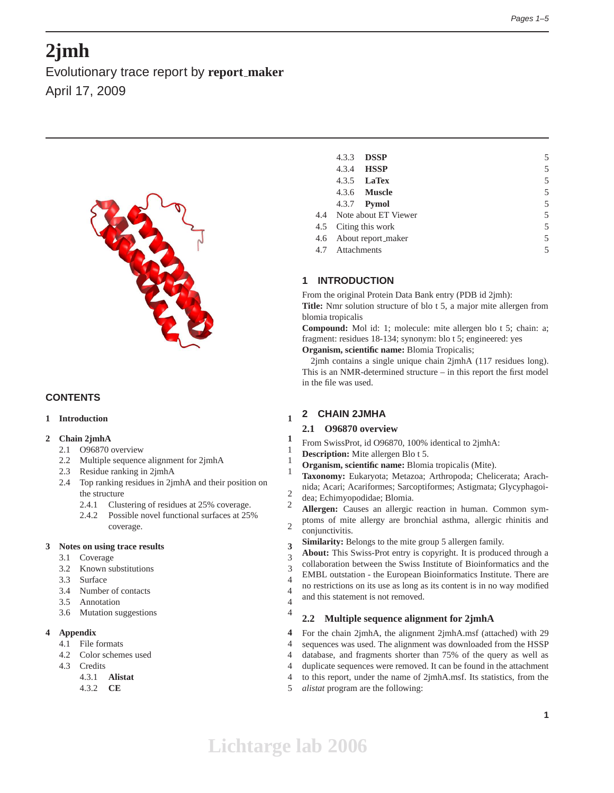# **2jmh**

Evolutionary trace report by **report maker** April 17, 2009



# **CONTENTS**

# **1 Introduction 1**

# **2 Chain 2jmhA 1**

- 2.1 O96870 overview 1
- 2.2 Multiple sequence alignment for 2jmhA 1
- 2.3 Residue ranking in 2jmhA 1
- 2.4 Top ranking residues in 2jmhA and their position on the structure 2
	- 2.4.1 Clustering of residues at 25% coverage. 2
	- 2.4.2 Possible novel functional surfaces at 25% coverage. 2

## **3 Notes on using trace results 3**

- 3.1 Coverage 3
- 3.2 Known substitutions 3
- 3.3 Surface 4
- 3.4 Number of contacts 4
- 3.5 Annotation 4
- 3.6 Mutation suggestions 4

# **4 Appendix 4**

- 4.1 File formats 4
- 4.2 Color schemes used 4
- 4.3 Credits 4
	- 4.3.1 **Alistat** 4
	- 4.3.2 **CE** 5

| 4.3.3           | <b>DSSP</b>              | 5 |
|-----------------|--------------------------|---|
|                 | 4.3.4 <b>HSSP</b>        | 5 |
|                 | $4.3.5$ LaTex            | 5 |
|                 | 4.3.6 <b>Muscle</b>      | 5 |
|                 | 4.3.7 <b>Pymol</b>       | 5 |
|                 | 4.4 Note about ET Viewer | 5 |
|                 | 4.5 Citing this work     | 5 |
|                 | 4.6 About report_maker   | 5 |
| 4.7 Attachments |                          | 5 |
|                 |                          |   |

# **1 INTRODUCTION**

From the original Protein Data Bank entry (PDB id 2jmh):

**Title:** Nmr solution structure of blo t 5, a major mite allergen from blomia tropicalis

**Compound:** Mol id: 1; molecule: mite allergen blo t 5; chain: a; fragment: residues 18-134; synonym: blo t 5; engineered: yes

**Organism, scientific name:** Blomia Tropicalis;

2jmh contains a single unique chain 2jmhA (117 residues long). This is an NMR-determined structure – in this report the first model in the file was used.

# **2 CHAIN 2JMHA**

# **2.1 O96870 overview**

- From SwissProt, id O96870, 100% identical to 2jmhA:
- **Description:** Mite allergen Blo t 5.
- **Organism, scientific name:** Blomia tropicalis (Mite).
- **Taxonomy:** Eukaryota; Metazoa; Arthropoda; Chelicerata; Arachnida; Acari; Acariformes; Sarcoptiformes; Astigmata; Glycyphagoi-
- dea; Echimyopodidae; Blomia.
- **Allergen:** Causes an allergic reaction in human. Common symptoms of mite allergy are bronchial asthma, allergic rhinitis and conjunctivitis.
- **Similarity:** Belongs to the mite group 5 allergen family.

**About:** This Swiss-Prot entry is copyright. It is produced through a collaboration between the Swiss Institute of Bioinformatics and the EMBL outstation - the European Bioinformatics Institute. There are no restrictions on its use as long as its content is in no way modified and this statement is not removed.

# **2.2 Multiple sequence alignment for 2jmhA**

For the chain 2jmhA, the alignment 2jmhA.msf (attached) with 29 sequences was used. The alignment was downloaded from the HSSP database, and fragments shorter than 75% of the query as well as duplicate sequences were removed. It can be found in the attachment to this report, under the name of 2jmhA.msf. Its statistics, from the

*alistat* program are the following: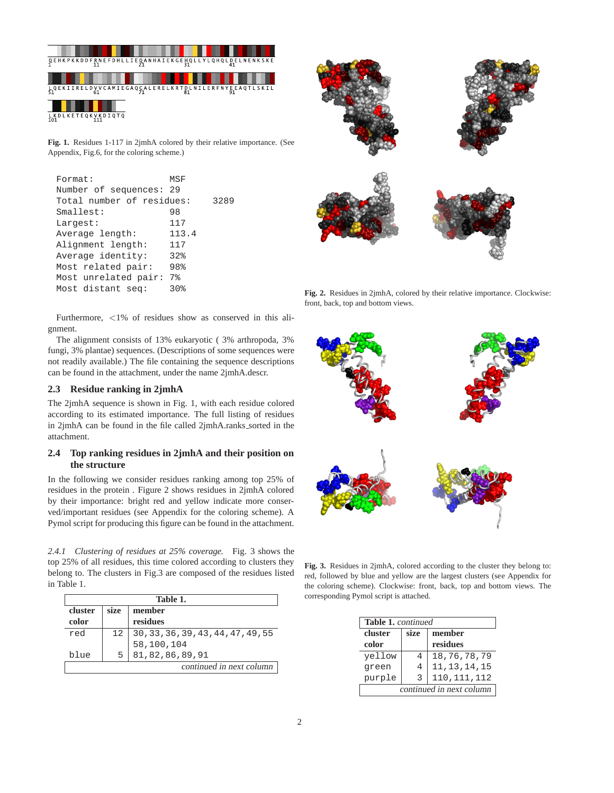

**Fig. 1.** Residues 1-117 in 2jmhA colored by their relative importance. (See Appendix, Fig.6, for the coloring scheme.)

| Format:                   | MSF            |      |
|---------------------------|----------------|------|
| Number of sequences: 29   |                |      |
| Total number of residues: |                | 3289 |
| Smallest:                 | 98             |      |
| Largest:                  | 117            |      |
| Average length:           | 113.4          |      |
| Alignment length:         | 117            |      |
| Average identity:         | 32%            |      |
| Most related pair:        | 98%            |      |
| Most unrelated pair:      | 7 <sup>°</sup> |      |
| Most distant seq:         | 30%            |      |

Furthermore, <1% of residues show as conserved in this alignment.

The alignment consists of 13% eukaryotic ( 3% arthropoda, 3% fungi, 3% plantae) sequences. (Descriptions of some sequences were not readily available.) The file containing the sequence descriptions can be found in the attachment, under the name 2jmhA.descr.

# **2.3 Residue ranking in 2jmhA**

The 2jmhA sequence is shown in Fig. 1, with each residue colored according to its estimated importance. The full listing of residues in 2jmhA can be found in the file called 2jmhA.ranks\_sorted in the attachment.

# **2.4 Top ranking residues in 2jmhA and their position on the structure**

In the following we consider residues ranking among top 25% of residues in the protein . Figure 2 shows residues in 2jmhA colored by their importance: bright red and yellow indicate more conserved/important residues (see Appendix for the coloring scheme). A Pymol script for producing this figure can be found in the attachment.

*2.4.1 Clustering of residues at 25% coverage.* Fig. 3 shows the top 25% of all residues, this time colored according to clusters they belong to. The clusters in Fig.3 are composed of the residues listed in Table 1.

| Table 1.                 |                |                                    |  |  |
|--------------------------|----------------|------------------------------------|--|--|
| cluster                  | size<br>member |                                    |  |  |
| color                    |                | residues                           |  |  |
| red                      | 12             | 30, 33, 36, 39, 43, 44, 47, 49, 55 |  |  |
|                          |                | 58,100,104                         |  |  |
| blue                     | 5.             | 81, 82, 86, 89, 91                 |  |  |
| continued in next column |                |                                    |  |  |

**Fig. 2.** Residues in 2jmhA, colored by their relative importance. Clockwise: front, back, top and bottom views.



**Fig. 3.** Residues in 2jmhA, colored according to the cluster they belong to: red, followed by blue and yellow are the largest clusters (see Appendix for the coloring scheme). Clockwise: front, back, top and bottom views. The corresponding Pymol script is attached.

|                          | <b>Table 1.</b> continued |                |  |
|--------------------------|---------------------------|----------------|--|
| cluster                  | size                      | member         |  |
| color                    |                           | residues       |  |
| yellow                   | 4                         | 18,76,78,79    |  |
| green                    | 4                         | 11, 13, 14, 15 |  |
| purple                   | 3                         | 110, 111, 112  |  |
| continued in next column |                           |                |  |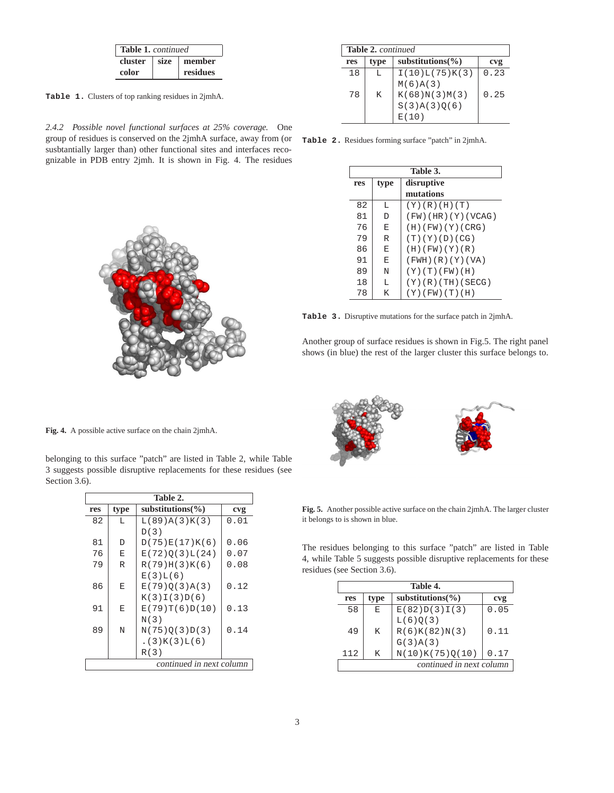|         | <b>Table 1.</b> continued |          |  |
|---------|---------------------------|----------|--|
| cluster | size                      | member   |  |
| color   |                           | residues |  |

**Table 1.** Clusters of top ranking residues in 2jmhA.

*2.4.2 Possible novel functional surfaces at 25% coverage.* One group of residues is conserved on the 2jmhA surface, away from (or susbtantially larger than) other functional sites and interfaces recognizable in PDB entry 2jmh. It is shown in Fig. 4. The residues

|     | <b>Table 2.</b> continued |                       |      |  |  |
|-----|---------------------------|-----------------------|------|--|--|
| res | type                      | substitutions $(\% )$ | cvg  |  |  |
| 18  | L                         | I(10)L(75)K(3)        | 0.23 |  |  |
|     |                           | M(6)A(3)              |      |  |  |
| 78  | K                         | K(68)N(3)M(3)         | 0.25 |  |  |
|     |                           | S(3)A(3)Q(6)          |      |  |  |
|     |                           | E(10)                 |      |  |  |

**Table 2.** Residues forming surface "patch" in 2jmhA.

|     | Table 3. |                          |  |  |  |
|-----|----------|--------------------------|--|--|--|
| res | type     | disruptive               |  |  |  |
|     |          | mutations                |  |  |  |
| 82  | L        | (Y)(R)(H)(T)             |  |  |  |
| 81  | D        | $(FW)$ (HR) $(Y)$ (VCAG) |  |  |  |
| 76  | E        | (H)(FW)(Y)(CRG)          |  |  |  |
| 79  | R        | (T)(Y)(D)(CG)            |  |  |  |
| 86  | E        | (H)(FW)(Y)(R)            |  |  |  |
| 91  | E        | (FWH)(R)(Y)(VA)          |  |  |  |
| 89  | N        | (Y)(T)(FW)(H)            |  |  |  |
| 18  | L        | (Y)(R)(TH)(SECG)         |  |  |  |
| 78  | Κ        | $(Y)$ (FW) $(T)$ (H)     |  |  |  |

**Table 3.** Disruptive mutations for the surface patch in 2jmhA.

Another group of surface residues is shown in Fig.5. The right panel shows (in blue) the rest of the larger cluster this surface belongs to.

**Fig. 4.** A possible active surface on the chain 2jmhA.

belonging to this surface "patch" are listed in Table 2, while Table 3 suggests possible disruptive replacements for these residues (see Section 3.6).

| Table 2.                 |      |                       |      |  |
|--------------------------|------|-----------------------|------|--|
| res                      | type | substitutions( $\%$ ) | cvg  |  |
| 82                       | L    | L(89)A(3)K(3)         | 0.01 |  |
|                          |      | D(3)                  |      |  |
| 81                       | D    | D(75)E(17)K(6)        | 0.06 |  |
| 76                       | E    | E(72)O(3)L(24)        | 0.07 |  |
| 79                       | R    | R(79)H(3)K(6)         | 0.08 |  |
|                          |      | E(3)L(6)              |      |  |
| 86                       | E    | E(79)O(3)A(3)         | 0.12 |  |
|                          |      | K(3)I(3)D(6)          |      |  |
| 91                       | E    | E(79)T(6)D(10)        | 0.13 |  |
|                          |      | N(3)                  |      |  |
| 89                       | N    | N(75)O(3)D(3)         | 0.14 |  |
|                          |      | .(3)K(3)L(6)          |      |  |
|                          |      | R(3)                  |      |  |
| continued in next column |      |                       |      |  |



**Fig. 5.** Another possible active surface on the chain 2jmhA. The larger cluster it belongs to is shown in blue.

The residues belonging to this surface "patch" are listed in Table 4, while Table 5 suggests possible disruptive replacements for these residues (see Section 3.6).

|     | Table 4. |                          |      |  |  |
|-----|----------|--------------------------|------|--|--|
| res | type     | substitutions $(\% )$    | cvg  |  |  |
| 58  | E        | E(82)D(3)I(3)            | 0.05 |  |  |
|     |          | L(6)Q(3)                 |      |  |  |
| 49  | K        | R(6)K(82)N(3)            | 0.11 |  |  |
|     |          | G(3)A(3)                 |      |  |  |
| 112 | K        | N(10)K(75)Q(10)          | 0.17 |  |  |
|     |          | continued in next column |      |  |  |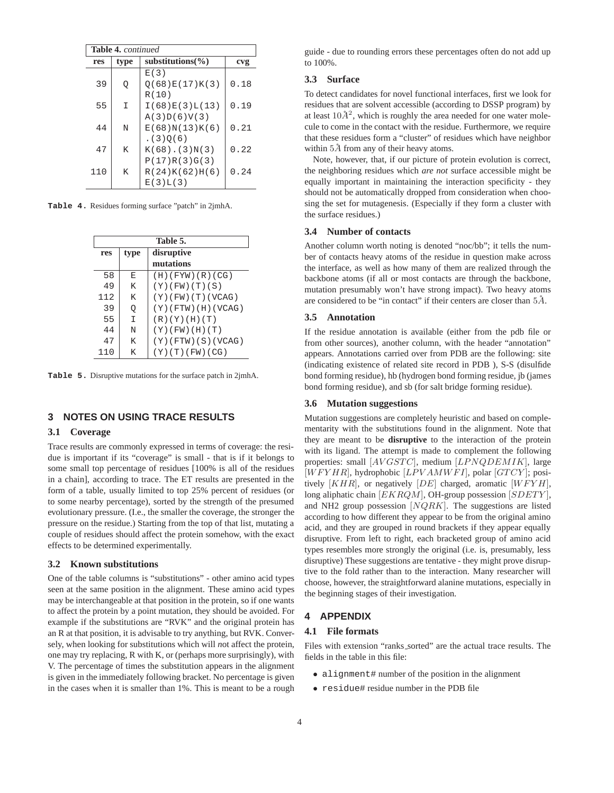| <b>Table 4.</b> continued |      |                       |      |  |
|---------------------------|------|-----------------------|------|--|
| res                       | type | substitutions $(\% )$ | cvg  |  |
|                           |      | E(3)                  |      |  |
| 39                        | Q    | O(68)E(17)K(3)        | 0.18 |  |
|                           |      | R(10)                 |      |  |
| 55                        | I    | I(68)E(3)L(13)        | 0.19 |  |
|                           |      | A(3)D(6)V(3)          |      |  |
| 44                        | N    | E(68)N(13)K(6)        | 0.21 |  |
|                           |      | (3)0(6)               |      |  |
| 47                        | K    | $K(68)$ . (3) $N(3)$  | 0.22 |  |
|                           |      | P(17)R(3)G(3)         |      |  |
| 110                       | K    | R(24)K(62)H(6)        | 0.24 |  |
|                           |      | E(3)L(3)              |      |  |

**Table 4.** Residues forming surface "patch" in 2jmhA.

| Table 5. |                    |                        |  |  |
|----------|--------------------|------------------------|--|--|
| res      | disruptive<br>type |                        |  |  |
|          |                    | mutations              |  |  |
| 58       | F.                 | (H)(FYW)(R)(CG)        |  |  |
| 49       | K                  | (Y)(FW)(T)(S)          |  |  |
| 112      | K                  | $(Y)$ (FW) (T) (VCAG)  |  |  |
| 39       | Q                  | $(Y)$ (FTW) (H) (VCAG) |  |  |
| 55       | I                  | (R)(Y)(H)(T)           |  |  |
| 44       | N                  | $(Y)$ (FW) (H) (T)     |  |  |
| 47       | K                  | $(Y)$ (FTW) (S) (VCAG) |  |  |
| 110      | K                  | (Y)(T)(FW)(CG)         |  |  |

**Table 5.** Disruptive mutations for the surface patch in 2jmhA.

# **3 NOTES ON USING TRACE RESULTS**

#### **3.1 Coverage**

Trace results are commonly expressed in terms of coverage: the residue is important if its "coverage" is small - that is if it belongs to some small top percentage of residues [100% is all of the residues in a chain], according to trace. The ET results are presented in the form of a table, usually limited to top 25% percent of residues (or to some nearby percentage), sorted by the strength of the presumed evolutionary pressure. (I.e., the smaller the coverage, the stronger the pressure on the residue.) Starting from the top of that list, mutating a couple of residues should affect the protein somehow, with the exact effects to be determined experimentally.

#### **3.2 Known substitutions**

One of the table columns is "substitutions" - other amino acid types seen at the same position in the alignment. These amino acid types may be interchangeable at that position in the protein, so if one wants to affect the protein by a point mutation, they should be avoided. For example if the substitutions are "RVK" and the original protein has an R at that position, it is advisable to try anything, but RVK. Conversely, when looking for substitutions which will *n*ot affect the protein, one may try replacing, R with K, or (perhaps more surprisingly), with V. The percentage of times the substitution appears in the alignment is given in the immediately following bracket. No percentage is given in the cases when it is smaller than 1%. This is meant to be a rough guide - due to rounding errors these percentages often do not add up to 100%.

## **3.3 Surface**

To detect candidates for novel functional interfaces, first we look for residues that are solvent accessible (according to DSSP program) by at least  $10\AA^2$ , which is roughly the area needed for one water molecule to come in the contact with the residue. Furthermore, we require that these residues form a "cluster" of residues which have neighbor within  $5\AA$  from any of their heavy atoms.

Note, however, that, if our picture of protein evolution is correct, the neighboring residues which *are not* surface accessible might be equally important in maintaining the interaction specificity - they should not be automatically dropped from consideration when choosing the set for mutagenesis. (Especially if they form a cluster with the surface residues.)

#### **3.4 Number of contacts**

Another column worth noting is denoted "noc/bb"; it tells the number of contacts heavy atoms of the residue in question make across the interface, as well as how many of them are realized through the backbone atoms (if all or most contacts are through the backbone, mutation presumably won't have strong impact). Two heavy atoms are considered to be "in contact" if their centers are closer than  $5\AA$ .

#### **3.5 Annotation**

If the residue annotation is available (either from the pdb file or from other sources), another column, with the header "annotation" appears. Annotations carried over from PDB are the following: site (indicating existence of related site record in PDB ), S-S (disulfide bond forming residue), hb (hydrogen bond forming residue, jb (james bond forming residue), and sb (for salt bridge forming residue).

#### **3.6 Mutation suggestions**

Mutation suggestions are completely heuristic and based on complementarity with the substitutions found in the alignment. Note that they are meant to be **disruptive** to the interaction of the protein with its ligand. The attempt is made to complement the following properties: small [AVGSTC], medium [LPNQDEMIK], large  $[WFYHR]$ , hydrophobic  $[LPVAMWFI]$ , polar  $[GTCY]$ ; positively  $[KHR]$ , or negatively  $[DE]$  charged, aromatic  $[WFYH]$ , long aliphatic chain  $[EKRQM]$ , OH-group possession  $[SDETY]$ , and NH2 group possession  $[NQRK]$ . The suggestions are listed according to how different they appear to be from the original amino acid, and they are grouped in round brackets if they appear equally disruptive. From left to right, each bracketed group of amino acid types resembles more strongly the original (i.e. is, presumably, less disruptive) These suggestions are tentative - they might prove disruptive to the fold rather than to the interaction. Many researcher will choose, however, the straightforward alanine mutations, especially in the beginning stages of their investigation.

## **4 APPENDIX**

#### **4.1 File formats**

Files with extension "ranks sorted" are the actual trace results. The fields in the table in this file:

- alignment# number of the position in the alignment
- residue# residue number in the PDB file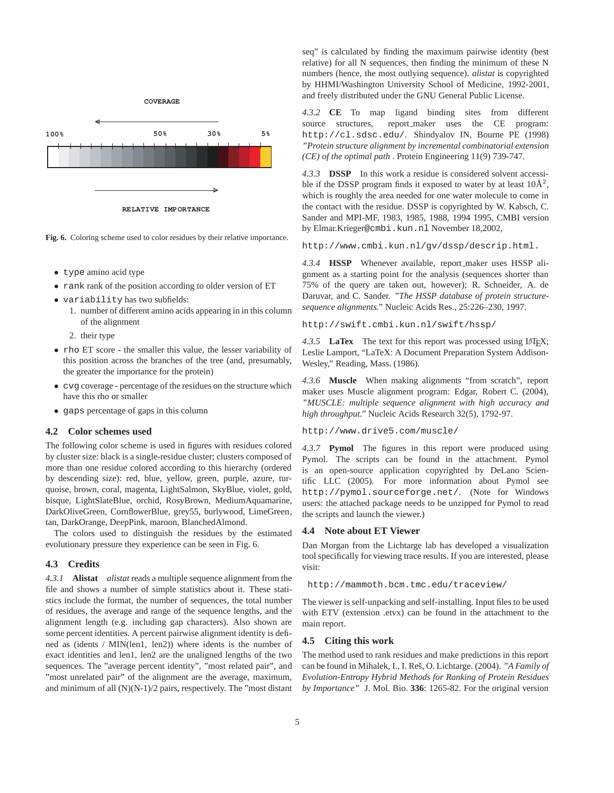

**RELATIVE IMPORTANCE**

**Fig. 6.** Coloring scheme used to color residues by their relative importance.

- type amino acid type
- rank rank of the position according to older version of ET
- variability has two subfields:
	- 1. number of different amino acids appearing in in this column of the alignment
	- 2. their type
- rho ET score the smaller this value, the lesser variability of this position across the branches of the tree (and, presumably, the greater the importance for the protein)
- cvg coverage percentage of the residues on the structure which have this rho or smaller
- gaps percentage of gaps in this column

#### **4.2 Color schemes used**

The following color scheme is used in figures with residues colored by cluster size: black is a single-residue cluster; clusters composed of more than one residue colored according to this hierarchy (ordered by descending size): red, blue, yellow, green, purple, azure, turquoise, brown, coral, magenta, LightSalmon, SkyBlue, violet, gold, bisque, LightSlateBlue, orchid, RosyBrown, MediumAquamarine, DarkOliveGreen, CornflowerBlue, grey55, burlywood, LimeGreen, tan, DarkOrange, DeepPink, maroon, BlanchedAlmond.

The colors used to distinguish the residues by the estimated evolutionary pressure they experience can be seen in Fig. 6.

#### **4.3 Credits**

*4.3.1* **Alistat** *alistat* reads a multiple sequence alignment from the file and shows a number of simple statistics about it. These statistics include the format, the number of sequences, the total number of residues, the average and range of the sequence lengths, and the alignment length (e.g. including gap characters). Also shown are some percent identities. A percent pairwise alignment identity is defined as (idents / MIN(len1, len2)) where idents is the number of exact identities and len1, len2 are the unaligned lengths of the two sequences. The "average percent identity", "most related pair", and "most unrelated pair" of the alignment are the average, maximum, and minimum of all (N)(N-1)/2 pairs, respectively. The "most distant

seq" is calculated by finding the maximum pairwise identity (best relative) for all N sequences, then finding the minimum of these N numbers (hence, the most outlying sequence). *alistat* is copyrighted by HHMI/Washington University School of Medicine, 1992-2001, and freely distributed under the GNU General Public License.

*4.3.2* **CE** To map ligand binding sites from different source structures, report\_maker uses the CE program: http://cl.sdsc.edu/. Shindyalov IN, Bourne PE (1998) *"Protein structure alignment by incremental combinatorial extension (CE) of the optimal path* . Protein Engineering 11(9) 739-747.

*4.3.3* **DSSP** In this work a residue is considered solvent accessible if the DSSP program finds it exposed to water by at least  $10\text{\AA}^2$ , which is roughly the area needed for one water molecule to come in the contact with the residue. DSSP is copyrighted by W. Kabsch, C. Sander and MPI-MF, 1983, 1985, 1988, 1994 1995, CMBI version by Elmar.Krieger@cmbi.kun.nl November 18,2002,

http://www.cmbi.kun.nl/gv/dssp/descrip.html.

*4.3.4* **HSSP** Whenever available, report maker uses HSSP alignment as a starting point for the analysis (sequences shorter than 75% of the query are taken out, however); R. Schneider, A. de Daruvar, and C. Sander. *"The HSSP database of protein structuresequence alignments."* Nucleic Acids Res., 25:226–230, 1997.

http://swift.cmbi.kun.nl/swift/hssp/

*4.3.5* **LaTex** The text for this report was processed using LATEX; Leslie Lamport, "LaTeX: A Document Preparation System Addison-Wesley," Reading, Mass. (1986).

*4.3.6* **Muscle** When making alignments "from scratch", report maker uses Muscle alignment program: Edgar, Robert C. (2004), *"MUSCLE: multiple sequence alignment with high accuracy and high throughput."* Nucleic Acids Research 32(5), 1792-97.

http://www.drive5.com/muscle/

*4.3.7* **Pymol** The figures in this report were produced using Pymol. The scripts can be found in the attachment. Pymol is an open-source application copyrighted by DeLano Scientific LLC (2005). For more information about Pymol see http://pymol.sourceforge.net/. (Note for Windows users: the attached package needs to be unzipped for Pymol to read the scripts and launch the viewer.)

#### **4.4 Note about ET Viewer**

Dan Morgan from the Lichtarge lab has developed a visualization tool specifically for viewing trace results. If you are interested, please visit:

http://mammoth.bcm.tmc.edu/traceview/

The viewer is self-unpacking and self-installing. Input files to be used with ETV (extension .etvx) can be found in the attachment to the main report.

#### **4.5 Citing this work**

The method used to rank residues and make predictions in this report can be found in Mihalek, I., I. Res, O. Lichtarge. (2004). ˇ *"A Family of Evolution-Entropy Hybrid Methods for Ranking of Protein Residues by Importance"* J. Mol. Bio. **336**: 1265-82. For the original version